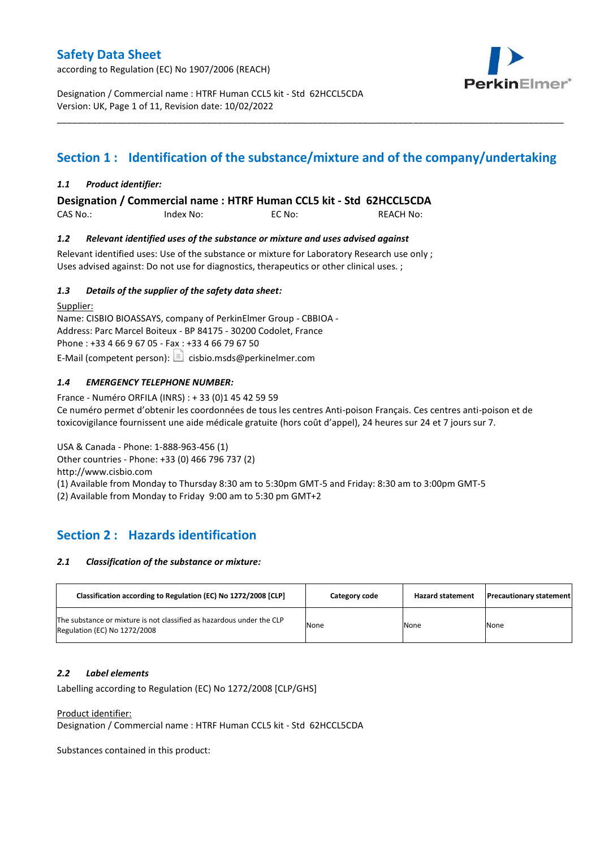according to Regulation (EC) No 1907/2006 (REACH)



Designation / Commercial name : HTRF Human CCL5 kit - Std 62HCCL5CDA Version: UK, Page 1 of 11, Revision date: 10/02/2022

# **Section 1 : Identification of the substance/mixture and of the company/undertaking**

\_\_\_\_\_\_\_\_\_\_\_\_\_\_\_\_\_\_\_\_\_\_\_\_\_\_\_\_\_\_\_\_\_\_\_\_\_\_\_\_\_\_\_\_\_\_\_\_\_\_\_\_\_\_\_\_\_\_\_\_\_\_\_\_\_\_\_\_\_\_\_\_\_\_\_\_\_\_\_\_\_\_\_\_\_\_\_\_\_\_\_\_\_\_\_\_\_\_\_\_\_

### *1.1 Product identifier:*

**Designation / Commercial name : HTRF Human CCL5 kit - Std 62HCCL5CDA** 

CAS No.: Index No: EC No: REACH No:

### *1.2 Relevant identified uses of the substance or mixture and uses advised against*

Relevant identified uses: Use of the substance or mixture for Laboratory Research use only ; Uses advised against: Do not use for diagnostics, therapeutics or other clinical uses. ;

### *1.3 Details of the supplier of the safety data sheet:*

Supplier: Name: CISBIO BIOASSAYS, company of PerkinElmer Group - CBBIOA - Address: Parc Marcel Boiteux - BP 84175 - 30200 Codolet, France Phone : +33 4 66 9 67 05 - Fax : +33 4 66 79 67 50 E-Mail (competent person):  $\Box$  cisbio.msds@perkinelmer.com

### *1.4 EMERGENCY TELEPHONE NUMBER:*

France - Numéro ORFILA (INRS) : + 33 (0)1 45 42 59 59 Ce numéro permet d'obtenir les coordonnées de tous les centres Anti-poison Français. Ces centres anti-poison et de toxicovigilance fournissent une aide médicale gratuite (hors coût d'appel), 24 heures sur 24 et 7 jours sur 7.

USA & Canada - Phone: 1-888-963-456 (1) Other countries - Phone: +33 (0) 466 796 737 (2)

http://www.cisbio.com

(1) Available from Monday to Thursday 8:30 am to 5:30pm GMT-5 and Friday: 8:30 am to 3:00pm GMT-5

(2) Available from Monday to Friday 9:00 am to 5:30 pm GMT+2

# **Section 2 : Hazards identification**

#### *2.1 Classification of the substance or mixture:*

| Classification according to Regulation (EC) No 1272/2008 [CLP]                                        | Category code | <b>Hazard statement</b> | <b>Precautionary statement</b> |
|-------------------------------------------------------------------------------------------------------|---------------|-------------------------|--------------------------------|
| The substance or mixture is not classified as hazardous under the CLP<br>Regulation (EC) No 1272/2008 | None          | None                    | None                           |

#### *2.2 Label elements*

Labelling according to Regulation (EC) No 1272/2008 [CLP/GHS]

Product identifier:

Designation / Commercial name : HTRF Human CCL5 kit - Std 62HCCL5CDA

Substances contained in this product: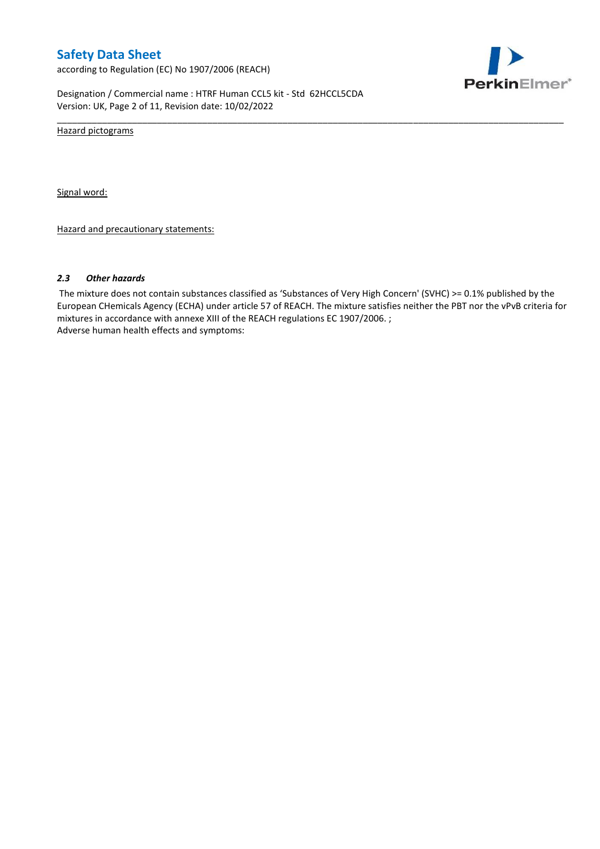according to Regulation (EC) No 1907/2006 (REACH)



Designation / Commercial name : HTRF Human CCL5 kit - Std 62HCCL5CDA Version: UK, Page 2 of 11, Revision date: 10/02/2022

Hazard pictograms

Signal word:

Hazard and precautionary statements:

#### *2.3 Other hazards*

The mixture does not contain substances classified as 'Substances of Very High Concern' (SVHC) >= 0.1% published by the European CHemicals Agency (ECHA) under article 57 of REACH. The mixture satisfies neither the PBT nor the vPvB criteria for mixtures in accordance with annexe XIII of the REACH regulations EC 1907/2006. ; Adverse human health effects and symptoms:

\_\_\_\_\_\_\_\_\_\_\_\_\_\_\_\_\_\_\_\_\_\_\_\_\_\_\_\_\_\_\_\_\_\_\_\_\_\_\_\_\_\_\_\_\_\_\_\_\_\_\_\_\_\_\_\_\_\_\_\_\_\_\_\_\_\_\_\_\_\_\_\_\_\_\_\_\_\_\_\_\_\_\_\_\_\_\_\_\_\_\_\_\_\_\_\_\_\_\_\_\_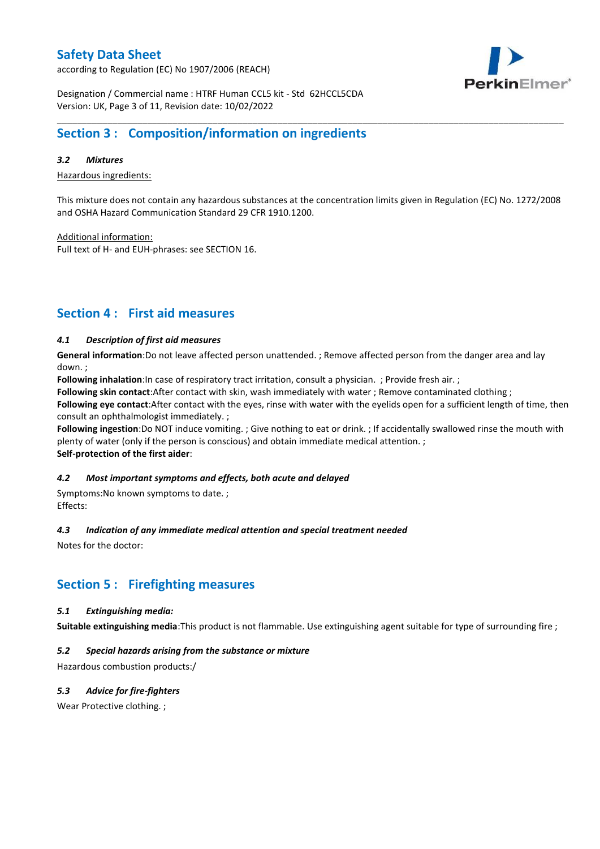according to Regulation (EC) No 1907/2006 (REACH)



Designation / Commercial name : HTRF Human CCL5 kit - Std 62HCCL5CDA Version: UK, Page 3 of 11, Revision date: 10/02/2022

# **Section 3 : Composition/information on ingredients**

### *3.2 Mixtures*

Hazardous ingredients:

This mixture does not contain any hazardous substances at the concentration limits given in Regulation (EC) No. 1272/2008 and OSHA Hazard Communication Standard 29 CFR 1910.1200.

\_\_\_\_\_\_\_\_\_\_\_\_\_\_\_\_\_\_\_\_\_\_\_\_\_\_\_\_\_\_\_\_\_\_\_\_\_\_\_\_\_\_\_\_\_\_\_\_\_\_\_\_\_\_\_\_\_\_\_\_\_\_\_\_\_\_\_\_\_\_\_\_\_\_\_\_\_\_\_\_\_\_\_\_\_\_\_\_\_\_\_\_\_\_\_\_\_\_\_\_\_

Additional information:

Full text of H- and EUH-phrases: see SECTION 16.

# **Section 4 : First aid measures**

### *4.1 Description of first aid measures*

**General information**:Do not leave affected person unattended. ; Remove affected person from the danger area and lay down. ;

**Following inhalation**:In case of respiratory tract irritation, consult a physician. ; Provide fresh air. ;

**Following skin contact**:After contact with skin, wash immediately with water ; Remove contaminated clothing ;

**Following eye contact**:After contact with the eyes, rinse with water with the eyelids open for a sufficient length of time, then consult an ophthalmologist immediately. ;

**Following ingestion**:Do NOT induce vomiting. ; Give nothing to eat or drink. ; If accidentally swallowed rinse the mouth with plenty of water (only if the person is conscious) and obtain immediate medical attention. ; **Self-protection of the first aider**:

#### *4.2 Most important symptoms and effects, both acute and delayed*

Symptoms:No known symptoms to date. ; Effects:

#### *4.3 Indication of any immediate medical attention and special treatment needed*

Notes for the doctor:

## **Section 5 : Firefighting measures**

#### *5.1 Extinguishing media:*

**Suitable extinguishing media**:This product is not flammable. Use extinguishing agent suitable for type of surrounding fire ;

### *5.2 Special hazards arising from the substance or mixture*

Hazardous combustion products:/

### *5.3 Advice for fire-fighters*

Wear Protective clothing.;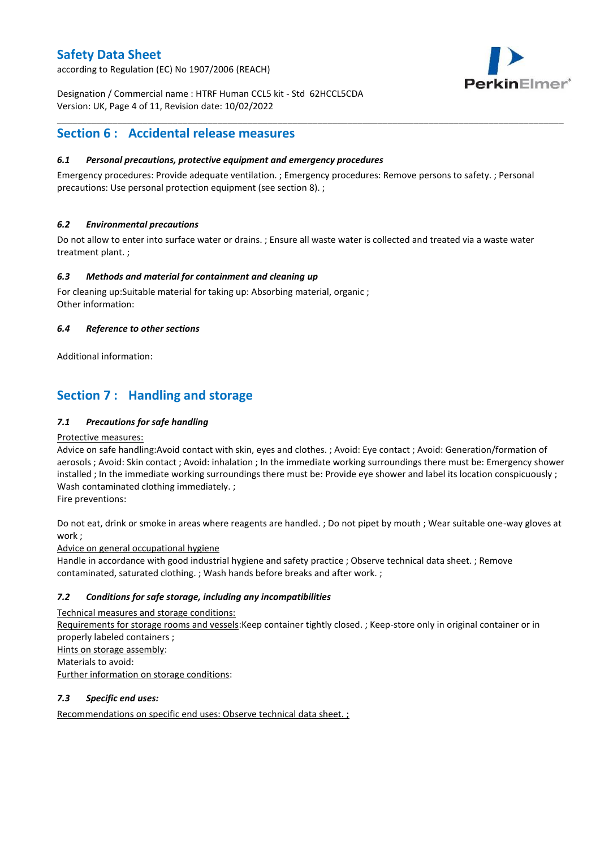according to Regulation (EC) No 1907/2006 (REACH)



Designation / Commercial name : HTRF Human CCL5 kit - Std 62HCCL5CDA Version: UK, Page 4 of 11, Revision date: 10/02/2022

# **Section 6 : Accidental release measures**

### *6.1 Personal precautions, protective equipment and emergency procedures*

Emergency procedures: Provide adequate ventilation. ; Emergency procedures: Remove persons to safety. ; Personal precautions: Use personal protection equipment (see section 8). ;

\_\_\_\_\_\_\_\_\_\_\_\_\_\_\_\_\_\_\_\_\_\_\_\_\_\_\_\_\_\_\_\_\_\_\_\_\_\_\_\_\_\_\_\_\_\_\_\_\_\_\_\_\_\_\_\_\_\_\_\_\_\_\_\_\_\_\_\_\_\_\_\_\_\_\_\_\_\_\_\_\_\_\_\_\_\_\_\_\_\_\_\_\_\_\_\_\_\_\_\_\_

### *6.2 Environmental precautions*

Do not allow to enter into surface water or drains. ; Ensure all waste water is collected and treated via a waste water treatment plant. ;

### *6.3 Methods and material for containment and cleaning up*

For cleaning up:Suitable material for taking up: Absorbing material, organic ; Other information:

### *6.4 Reference to other sections*

Additional information:

# **Section 7 : Handling and storage**

### *7.1 Precautions for safe handling*

#### Protective measures:

Advice on safe handling:Avoid contact with skin, eyes and clothes. ; Avoid: Eye contact ; Avoid: Generation/formation of aerosols ; Avoid: Skin contact ; Avoid: inhalation ; In the immediate working surroundings there must be: Emergency shower installed ; In the immediate working surroundings there must be: Provide eye shower and label its location conspicuously ; Wash contaminated clothing immediately. ;

Fire preventions:

Do not eat, drink or smoke in areas where reagents are handled. ; Do not pipet by mouth ; Wear suitable one-way gloves at work ;

Advice on general occupational hygiene

Handle in accordance with good industrial hygiene and safety practice ; Observe technical data sheet. ; Remove contaminated, saturated clothing. ; Wash hands before breaks and after work. ;

### *7.2 Conditions for safe storage, including any incompatibilities*

Technical measures and storage conditions: Requirements for storage rooms and vessels:Keep container tightly closed. ; Keep-store only in original container or in properly labeled containers ; Hints on storage assembly: Materials to avoid: Further information on storage conditions:

### *7.3 Specific end uses:*

Recommendations on specific end uses: Observe technical data sheet. ;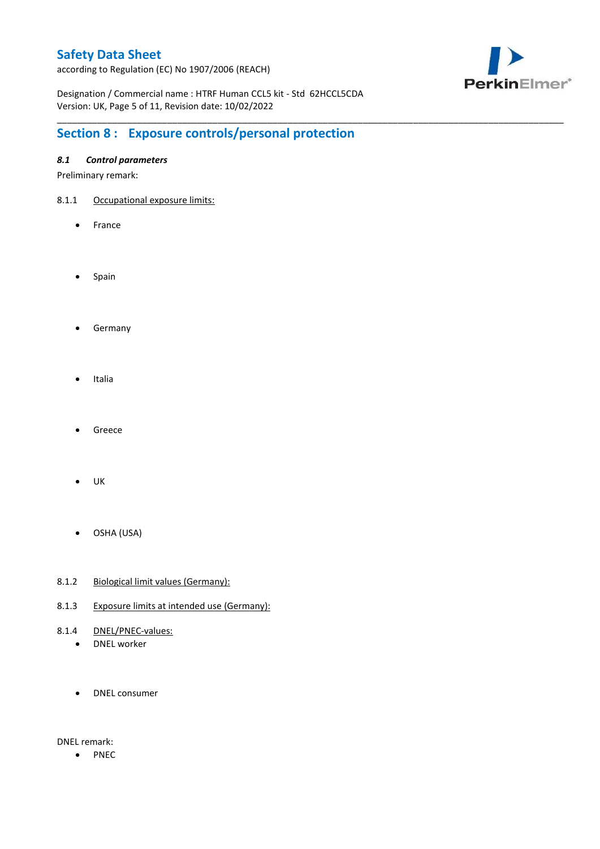according to Regulation (EC) No 1907/2006 (REACH)



Designation / Commercial name : HTRF Human CCL5 kit - Std 62HCCL5CDA Version: UK, Page 5 of 11, Revision date: 10/02/2022

\_\_\_\_\_\_\_\_\_\_\_\_\_\_\_\_\_\_\_\_\_\_\_\_\_\_\_\_\_\_\_\_\_\_\_\_\_\_\_\_\_\_\_\_\_\_\_\_\_\_\_\_\_\_\_\_\_\_\_\_\_\_\_\_\_\_\_\_\_\_\_\_\_\_\_\_\_\_\_\_\_\_\_\_\_\_\_\_\_\_\_\_\_\_\_\_\_\_\_\_\_

# **Section 8 : Exposure controls/personal protection**

### *8.1 Control parameters*

Preliminary remark:

- 8.1.1 Occupational exposure limits:
	- France
	- Spain
	- **•** Germany
	- Italia
	- Greece
	- $\bullet$  UK
	- OSHA (USA)
- 8.1.2 Biological limit values (Germany):
- 8.1.3 Exposure limits at intended use (Germany):
- 8.1.4 DNEL/PNEC-values:
	- DNEL worker
	- DNEL consumer

DNEL remark:

• PNEC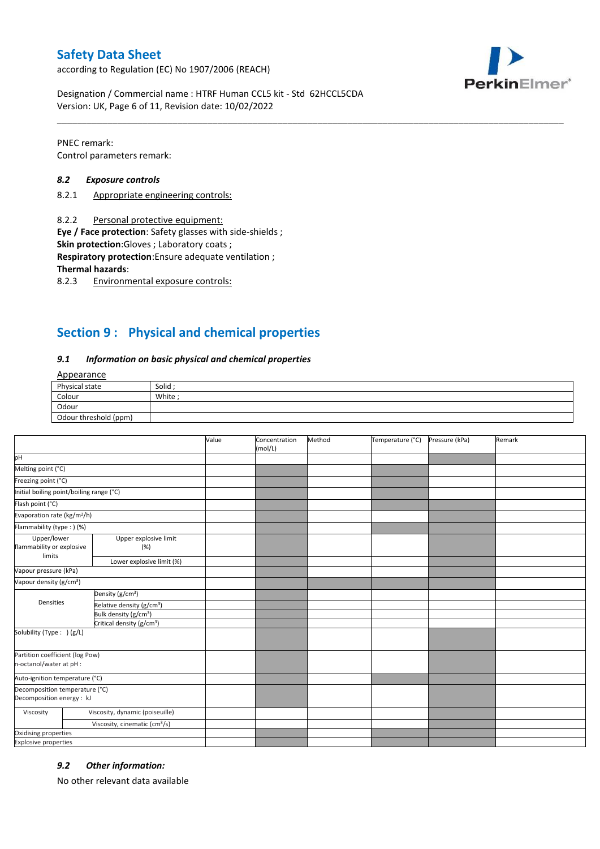according to Regulation (EC) No 1907/2006 (REACH)



Designation / Commercial name : HTRF Human CCL5 kit - Std 62HCCL5CDA Version: UK, Page 6 of 11, Revision date: 10/02/2022

PNEC remark: Control parameters remark:

#### *8.2 Exposure controls*

- 8.2.1 Appropriate engineering controls:
- 8.2.2 Personal protective equipment:

**Eye / Face protection**: Safety glasses with side-shields ;

**Skin protection**:Gloves ; Laboratory coats ;

**Respiratory protection**:Ensure adequate ventilation ;

**Thermal hazards**:

8.2.3 Environmental exposure controls:

# **Section 9 : Physical and chemical properties**

#### *9.1 Information on basic physical and chemical properties*

### Appearance

| Physical state        | Solid  |
|-----------------------|--------|
| Colour                | White; |
| Odour                 |        |
| Odour threshold (ppm) |        |

\_\_\_\_\_\_\_\_\_\_\_\_\_\_\_\_\_\_\_\_\_\_\_\_\_\_\_\_\_\_\_\_\_\_\_\_\_\_\_\_\_\_\_\_\_\_\_\_\_\_\_\_\_\_\_\_\_\_\_\_\_\_\_\_\_\_\_\_\_\_\_\_\_\_\_\_\_\_\_\_\_\_\_\_\_\_\_\_\_\_\_\_\_\_\_\_\_\_\_\_\_

|                                                             |                                           | Value | Concentration<br>(mol/L) | Method | Temperature (°C) | Pressure (kPa) | Remark |
|-------------------------------------------------------------|-------------------------------------------|-------|--------------------------|--------|------------------|----------------|--------|
| pH                                                          |                                           |       |                          |        |                  |                |        |
| Melting point (°C)                                          |                                           |       |                          |        |                  |                |        |
| Freezing point (°C)                                         |                                           |       |                          |        |                  |                |        |
| Initial boiling point/boiling range (°C)                    |                                           |       |                          |        |                  |                |        |
| Flash point (°C)                                            |                                           |       |                          |        |                  |                |        |
| Evaporation rate (kg/m <sup>2</sup> /h)                     |                                           |       |                          |        |                  |                |        |
| Flammability (type: ) (%)                                   |                                           |       |                          |        |                  |                |        |
| Upper/lower<br>flammability or explosive<br>limits          | Upper explosive limit<br>(%)              |       |                          |        |                  |                |        |
|                                                             | Lower explosive limit (%)                 |       |                          |        |                  |                |        |
| Vapour pressure (kPa)                                       |                                           |       |                          |        |                  |                |        |
| Vapour density (g/cm <sup>3</sup> )                         |                                           |       |                          |        |                  |                |        |
| Densities                                                   | Density (g/cm <sup>3</sup> )              |       |                          |        |                  |                |        |
|                                                             | Relative density (g/cm <sup>3</sup> )     |       |                          |        |                  |                |        |
|                                                             | Bulk density (g/cm <sup>3</sup> )         |       |                          |        |                  |                |        |
|                                                             | Critical density (g/cm <sup>3</sup> )     |       |                          |        |                  |                |        |
| Solubility (Type: ) (g/L)                                   |                                           |       |                          |        |                  |                |        |
| Partition coefficient (log Pow)<br>n-octanol/water at pH :  |                                           |       |                          |        |                  |                |        |
| Auto-ignition temperature (°C)                              |                                           |       |                          |        |                  |                |        |
| Decomposition temperature (°C)<br>Decomposition energy : kJ |                                           |       |                          |        |                  |                |        |
| Viscosity                                                   | Viscosity, dynamic (poiseuille)           |       |                          |        |                  |                |        |
|                                                             | Viscosity, cinematic (cm <sup>3</sup> /s) |       |                          |        |                  |                |        |
| Oxidising properties                                        |                                           |       |                          |        |                  |                |        |
| <b>Explosive properties</b>                                 |                                           |       |                          |        |                  |                |        |

#### *9.2 Other information:*

No other relevant data available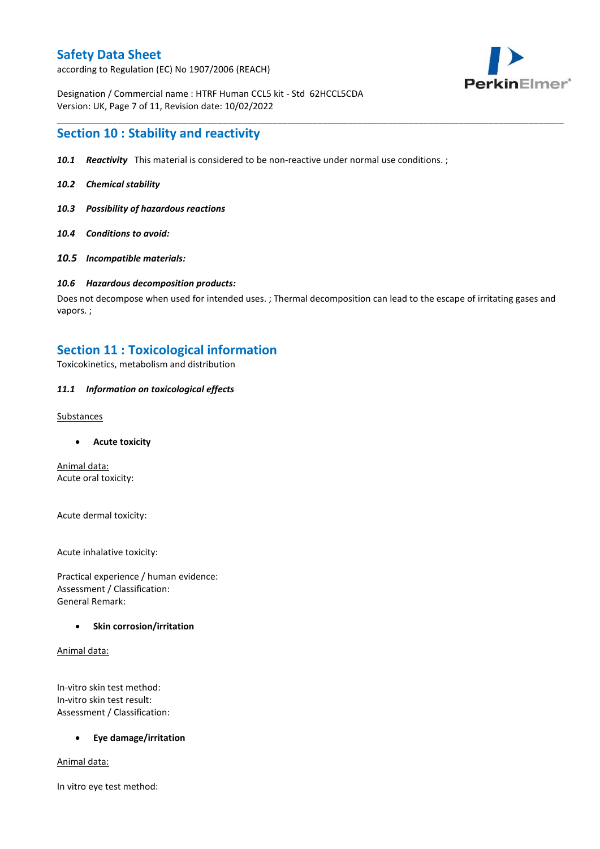according to Regulation (EC) No 1907/2006 (REACH)



Designation / Commercial name : HTRF Human CCL5 kit - Std 62HCCL5CDA Version: UK, Page 7 of 11, Revision date: 10/02/2022

### **Section 10 : Stability and reactivity**

- *10.1 Reactivity* This material is considered to be non-reactive under normal use conditions. ;
- *10.2 Chemical stability*
- *10.3 Possibility of hazardous reactions*
- *10.4 Conditions to avoid:*
- *10.5 Incompatible materials:*

#### *10.6 Hazardous decomposition products:*

Does not decompose when used for intended uses. ; Thermal decomposition can lead to the escape of irritating gases and vapors. ;

\_\_\_\_\_\_\_\_\_\_\_\_\_\_\_\_\_\_\_\_\_\_\_\_\_\_\_\_\_\_\_\_\_\_\_\_\_\_\_\_\_\_\_\_\_\_\_\_\_\_\_\_\_\_\_\_\_\_\_\_\_\_\_\_\_\_\_\_\_\_\_\_\_\_\_\_\_\_\_\_\_\_\_\_\_\_\_\_\_\_\_\_\_\_\_\_\_\_\_\_\_

### **Section 11 : Toxicological information**

Toxicokinetics, metabolism and distribution

#### *11.1 Information on toxicological effects*

#### **Substances**

**Acute toxicity**

Animal data: Acute oral toxicity:

Acute dermal toxicity:

Acute inhalative toxicity:

Practical experience / human evidence: Assessment / Classification: General Remark:

#### **Skin corrosion/irritation**

Animal data:

In-vitro skin test method: In-vitro skin test result: Assessment / Classification:

#### **Eye damage/irritation**

Animal data:

In vitro eye test method: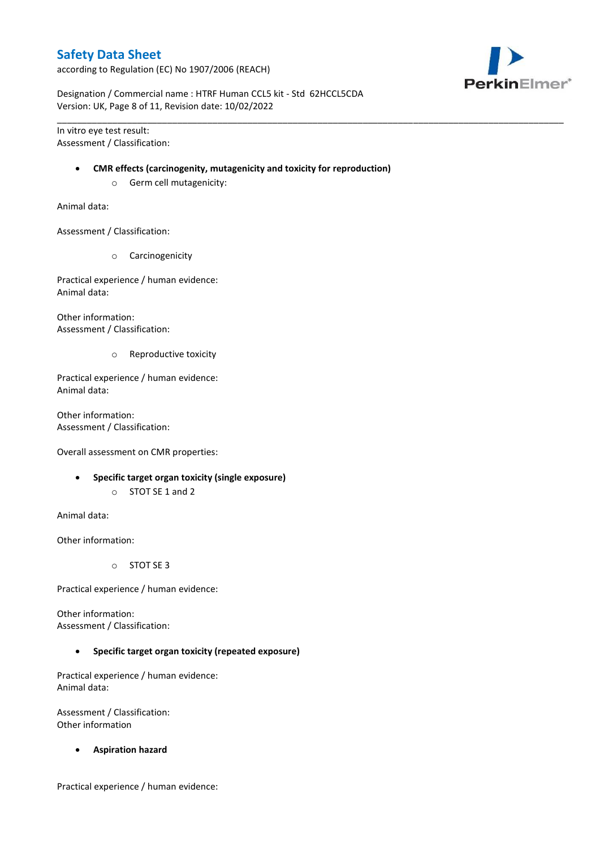according to Regulation (EC) No 1907/2006 (REACH)



Designation / Commercial name : HTRF Human CCL5 kit - Std 62HCCL5CDA Version: UK, Page 8 of 11, Revision date: 10/02/2022

In vitro eye test result: Assessment / Classification:

#### **CMR effects (carcinogenity, mutagenicity and toxicity for reproduction)**

\_\_\_\_\_\_\_\_\_\_\_\_\_\_\_\_\_\_\_\_\_\_\_\_\_\_\_\_\_\_\_\_\_\_\_\_\_\_\_\_\_\_\_\_\_\_\_\_\_\_\_\_\_\_\_\_\_\_\_\_\_\_\_\_\_\_\_\_\_\_\_\_\_\_\_\_\_\_\_\_\_\_\_\_\_\_\_\_\_\_\_\_\_\_\_\_\_\_\_\_\_

o Germ cell mutagenicity:

Animal data:

Assessment / Classification:

o Carcinogenicity

Practical experience / human evidence: Animal data:

Other information: Assessment / Classification:

o Reproductive toxicity

Practical experience / human evidence: Animal data:

Other information: Assessment / Classification:

Overall assessment on CMR properties:

- **Specific target organ toxicity (single exposure)**
	- o STOT SE 1 and 2

Animal data:

Other information:

o STOT SE 3

Practical experience / human evidence:

Other information: Assessment / Classification:

**Specific target organ toxicity (repeated exposure)**

Practical experience / human evidence: Animal data:

Assessment / Classification: Other information

**Aspiration hazard**

Practical experience / human evidence: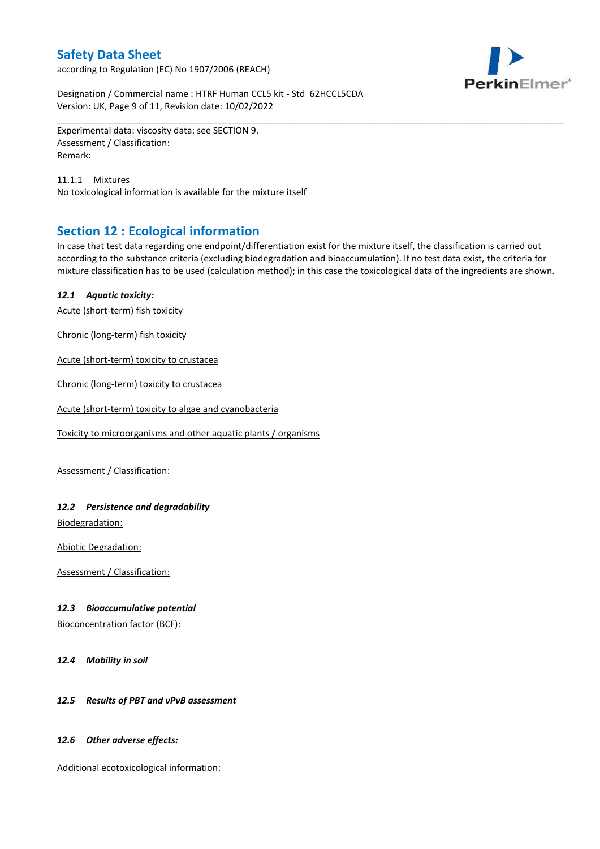according to Regulation (EC) No 1907/2006 (REACH)



Designation / Commercial name : HTRF Human CCL5 kit - Std 62HCCL5CDA Version: UK, Page 9 of 11, Revision date: 10/02/2022

Experimental data: viscosity data: see SECTION 9. Assessment / Classification: Remark:

11.1.1 Mixtures No toxicological information is available for the mixture itself

# **Section 12 : Ecological information**

In case that test data regarding one endpoint/differentiation exist for the mixture itself, the classification is carried out according to the substance criteria (excluding biodegradation and bioaccumulation). If no test data exist, the criteria for mixture classification has to be used (calculation method); in this case the toxicological data of the ingredients are shown.

\_\_\_\_\_\_\_\_\_\_\_\_\_\_\_\_\_\_\_\_\_\_\_\_\_\_\_\_\_\_\_\_\_\_\_\_\_\_\_\_\_\_\_\_\_\_\_\_\_\_\_\_\_\_\_\_\_\_\_\_\_\_\_\_\_\_\_\_\_\_\_\_\_\_\_\_\_\_\_\_\_\_\_\_\_\_\_\_\_\_\_\_\_\_\_\_\_\_\_\_\_

### *12.1 Aquatic toxicity:*

Acute (short-term) fish toxicity

Chronic (long-term) fish toxicity

Acute (short-term) toxicity to crustacea

Chronic (long-term) toxicity to crustacea

Acute (short-term) toxicity to algae and cyanobacteria

Toxicity to microorganisms and other aquatic plants / organisms

Assessment / Classification:

### *12.2 Persistence and degradability*

Biodegradation:

Abiotic Degradation:

Assessment / Classification:

#### *12.3 Bioaccumulative potential*

Bioconcentration factor (BCF):

*12.4 Mobility in soil*

### *12.5 Results of PBT and vPvB assessment*

#### *12.6 Other adverse effects:*

Additional ecotoxicological information: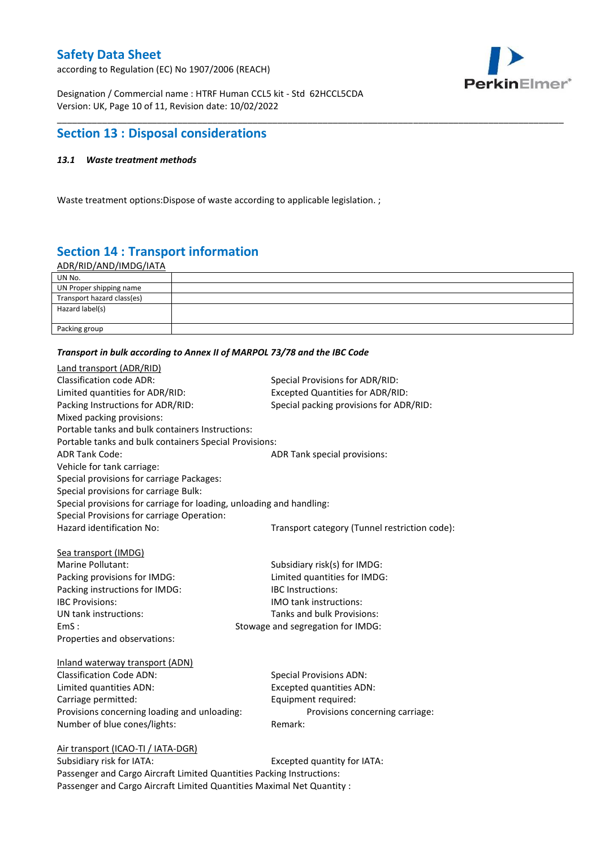according to Regulation (EC) No 1907/2006 (REACH)



Designation / Commercial name : HTRF Human CCL5 kit - Std 62HCCL5CDA Version: UK, Page 10 of 11, Revision date: 10/02/2022

# **Section 13 : Disposal considerations**

### *13.1 Waste treatment methods*

Waste treatment options:Dispose of waste according to applicable legislation. ;

# **Section 14 : Transport information**

ADR/RID/AND/IMDG/IATA

| UN No.                     |  |
|----------------------------|--|
| UN Proper shipping name    |  |
| Transport hazard class(es) |  |
| Hazard label(s)            |  |
|                            |  |
| Packing group              |  |

\_\_\_\_\_\_\_\_\_\_\_\_\_\_\_\_\_\_\_\_\_\_\_\_\_\_\_\_\_\_\_\_\_\_\_\_\_\_\_\_\_\_\_\_\_\_\_\_\_\_\_\_\_\_\_\_\_\_\_\_\_\_\_\_\_\_\_\_\_\_\_\_\_\_\_\_\_\_\_\_\_\_\_\_\_\_\_\_\_\_\_\_\_\_\_\_\_\_\_\_\_

#### *Transport in bulk according to Annex II of MARPOL 73/78 and the IBC Code*

| Land transport (ADR/RID)                                             |                                               |
|----------------------------------------------------------------------|-----------------------------------------------|
| <b>Classification code ADR:</b>                                      | Special Provisions for ADR/RID:               |
| Limited quantities for ADR/RID:                                      | <b>Excepted Quantities for ADR/RID:</b>       |
| Packing Instructions for ADR/RID:                                    | Special packing provisions for ADR/RID:       |
| Mixed packing provisions:                                            |                                               |
| Portable tanks and bulk containers Instructions:                     |                                               |
| Portable tanks and bulk containers Special Provisions:               |                                               |
| <b>ADR Tank Code:</b>                                                | ADR Tank special provisions:                  |
| Vehicle for tank carriage:                                           |                                               |
| Special provisions for carriage Packages:                            |                                               |
| Special provisions for carriage Bulk:                                |                                               |
| Special provisions for carriage for loading, unloading and handling: |                                               |
| Special Provisions for carriage Operation:                           |                                               |
| Hazard identification No:                                            | Transport category (Tunnel restriction code): |
|                                                                      |                                               |
| Sea transport (IMDG)                                                 |                                               |
| Marine Pollutant:                                                    | Subsidiary risk(s) for IMDG:                  |
| Packing provisions for IMDG:                                         | Limited quantities for IMDG:                  |
| Packing instructions for IMDG:                                       | <b>IBC</b> Instructions:                      |
| <b>IBC Provisions:</b>                                               | IMO tank instructions:                        |
| UN tank instructions:                                                | Tanks and bulk Provisions:                    |
| EmS:                                                                 | Stowage and segregation for IMDG:             |
| Properties and observations:                                         |                                               |
| Inland waterway transport (ADN)                                      |                                               |
| <b>Classification Code ADN:</b>                                      | <b>Special Provisions ADN:</b>                |
| Limited quantities ADN:                                              | <b>Excepted quantities ADN:</b>               |
| Carriage permitted:                                                  | Equipment required:                           |
| Provisions concerning loading and unloading:                         | Provisions concerning carriage:               |
| Number of blue cones/lights:                                         | Remark:                                       |
|                                                                      |                                               |
| Air transport (ICAO-TI / IATA-DGR)                                   |                                               |
| Subsidiary risk for IATA.                                            | Excented quantity for IATA.                   |

Subsidiary risk for IATA: Excepted quantity for IATA: Passenger and Cargo Aircraft Limited Quantities Packing Instructions: Passenger and Cargo Aircraft Limited Quantities Maximal Net Quantity :